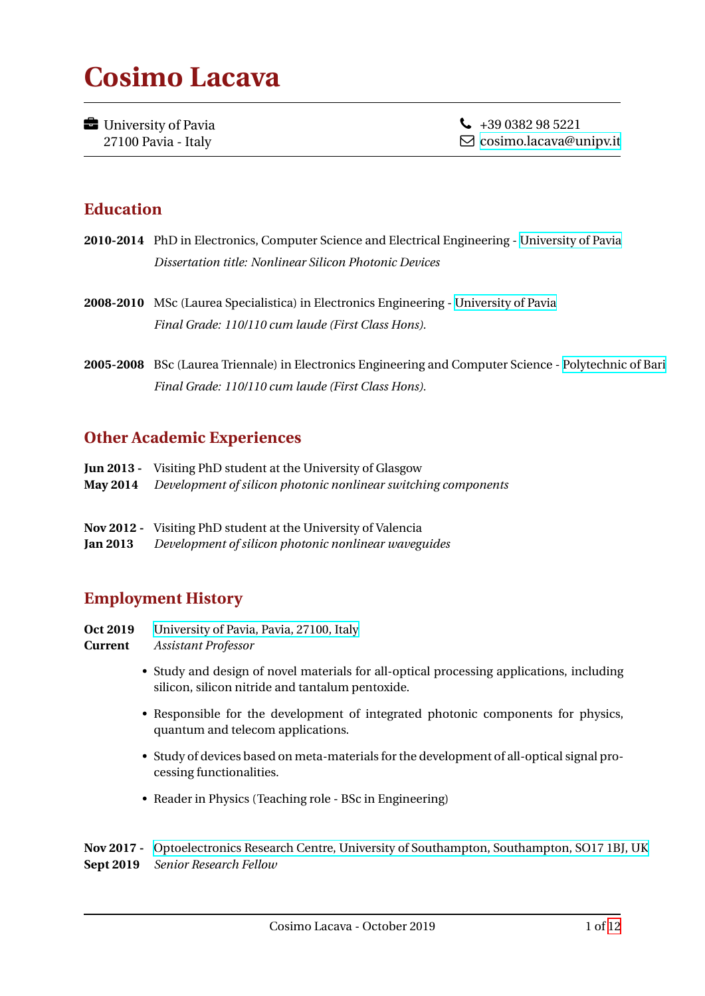# **Cosimo Lacava**

**University of Pavia** 27100 Pavia - Italy

 $\bigcup$  +39 0382 98 5221 [cosimo.lacava@unipv.it](mailto:cosimo.lacava@unipv.it)

## **Education**

- **2010-2014** PhD in Electronics, Computer Science and Electrical Engineering [University of Pavia](http://www.unipv.it) *Dissertation title: Nonlinear Silicon Photonic Devices*
- **2008-2010** MSc (Laurea Specialistica) in Electronics Engineering [University of Pavia](http://www.unipv.it) *Final Grade: 110/110 cum laude (First Class Hons).*
- **2005-2008** BSc (Laurea Triennale) in Electronics Engineering and Computer Science [Polytechnic of Bari](http://www.poliba.it) *Final Grade: 110/110 cum laude (First Class Hons).*

## **Other Academic Experiences**

- **Jun 2013 -** Visiting PhD student at the University of Glasgow
- **May 2014** *Development of silicon photonic nonlinear switching components*
- **Nov 2012 -** Visiting PhD student at the University of Valencia
- **Jan 2013** *Development of silicon photonic nonlinear waveguides*

## **Employment History**

- **Oct 2019** [University of Pavia, Pavia, 27100, Italy](http://www.unipv.it)
- **Current** *Assistant Professor*
	- Study and design of novel materials for all-optical processing applications, including silicon, silicon nitride and tantalum pentoxide.
	- Responsible for the development of integrated photonic components for physics, quantum and telecom applications.
	- Study of devices based on meta-materials for the development of all-optical signal processing functionalities.
	- Reader in Physics (Teaching role BSc in Engineering)

**Nov 2017 -** [Optoelectronics Research Centre, University of Southampton, Southampton, SO17 1BJ, UK](http://www.orc.soton.ac.uk) **Sept 2019** *Senior Research Fellow*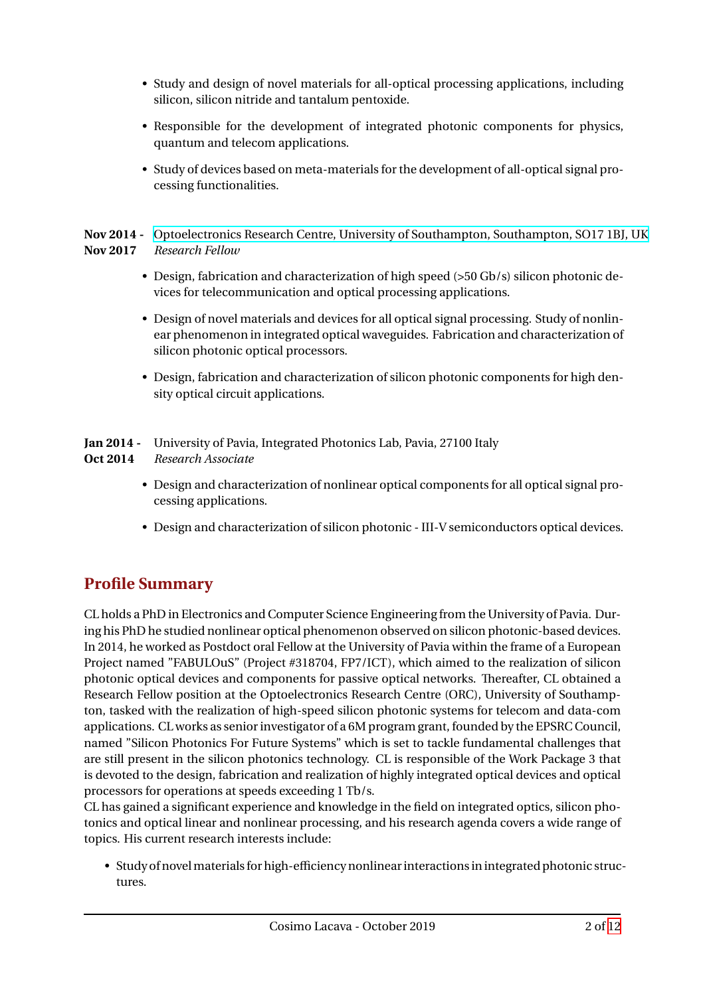- Study and design of novel materials for all-optical processing applications, including silicon, silicon nitride and tantalum pentoxide.
- Responsible for the development of integrated photonic components for physics, quantum and telecom applications.
- Study of devices based on meta-materials for the development of all-optical signal processing functionalities.

**Nov 2014 -** [Optoelectronics Research Centre, University of Southampton, Southampton, SO17 1BJ, UK](http://www.orc.soton.ac.uk) **Nov 2017** *Research Fellow*

- Design, fabrication and characterization of high speed (>50 Gb/s) silicon photonic devices for telecommunication and optical processing applications.
- Design of novel materials and devices for all optical signal processing. Study of nonlinear phenomenon in integrated optical waveguides. Fabrication and characterization of silicon photonic optical processors.
- Design, fabrication and characterization of silicon photonic components for high density optical circuit applications.

#### **Jan 2014 -** University of Pavia, Integrated Photonics Lab, Pavia, 27100 Italy

- **Oct 2014** *Research Associate*
	- Design and characterization of nonlinear optical components for all optical signal processing applications.
	- Design and characterization of silicon photonic III-V semiconductors optical devices.

# **Profile Summary**

CL holds a PhD in Electronics and Computer Science Engineering from the University of Pavia. During his PhD he studied nonlinear optical phenomenon observed on silicon photonic-based devices. In 2014, he worked as Postdoct oral Fellow at the University of Pavia within the frame of a European Project named "FABULOuS" (Project #318704, FP7/ICT), which aimed to the realization of silicon photonic optical devices and components for passive optical networks. Thereafter, CL obtained a Research Fellow position at the Optoelectronics Research Centre (ORC), University of Southampton, tasked with the realization of high-speed silicon photonic systems for telecom and data-com applications. CL works as senior investigator of a 6M program grant, founded by the EPSRC Council, named "Silicon Photonics For Future Systems" which is set to tackle fundamental challenges that are still present in the silicon photonics technology. CL is responsible of the Work Package 3 that is devoted to the design, fabrication and realization of highly integrated optical devices and optical processors for operations at speeds exceeding 1 Tb/s.

CL has gained a significant experience and knowledge in the field on integrated optics, silicon photonics and optical linear and nonlinear processing, and his research agenda covers a wide range of topics. His current research interests include:

• Study of novelmaterialsfor high-efficiency nonlinear interactions in integrated photonic structures.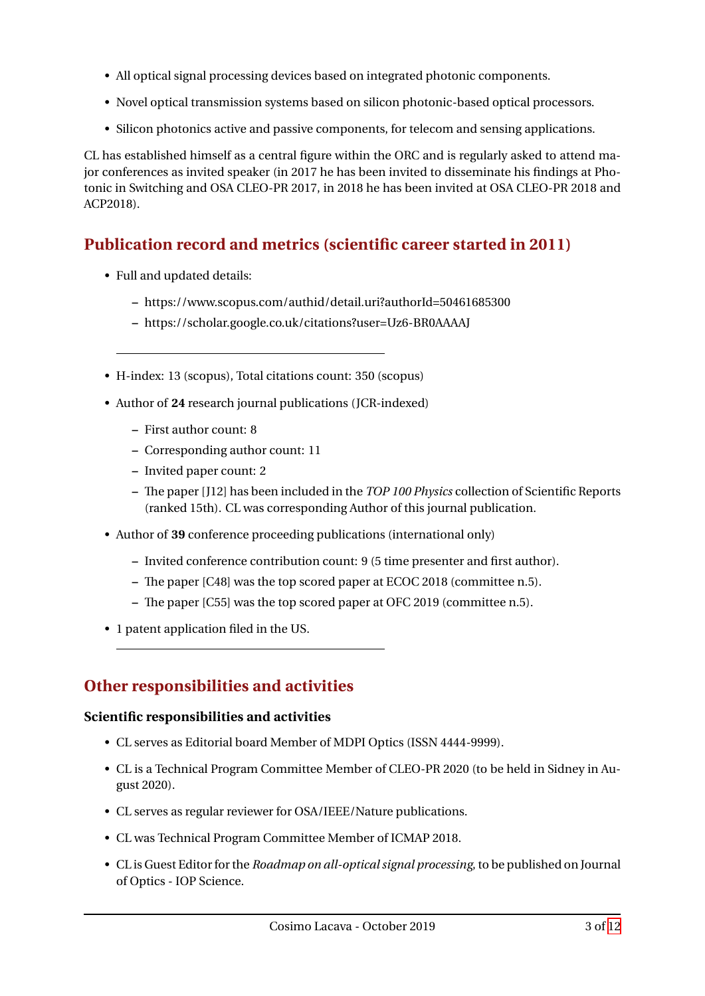- All optical signal processing devices based on integrated photonic components.
- Novel optical transmission systems based on silicon photonic-based optical processors.
- Silicon photonics active and passive components, for telecom and sensing applications.

CL has established himself as a central figure within the ORC and is regularly asked to attend major conferences as invited speaker (in 2017 he has been invited to disseminate his findings at Photonic in Switching and OSA CLEO-PR 2017, in 2018 he has been invited at OSA CLEO-PR 2018 and ACP2018).

## **Publication record and metrics (scientific career started in 2011)**

- Full and updated details:
	- **–** https://www.scopus.com/authid/detail.uri?authorId=50461685300
	- **–** https://scholar.google.co.uk/citations?user=Uz6-BR0AAAAJ
- H-index: 13 (scopus), Total citations count: 350 (scopus)
- Author of **24** research journal publications (JCR-indexed)
	- **–** First author count: 8
	- **–** Corresponding author count: 11
	- **–** Invited paper count: 2
	- **–** The paper [J12] has been included in the *TOP 100 Physics* collection of Scientific Reports (ranked 15th). CL was corresponding Author of this journal publication.
- Author of **39** conference proceeding publications (international only)
	- **–** Invited conference contribution count: 9 (5 time presenter and first author).
	- **–** The paper [C48] was the top scored paper at ECOC 2018 (committee n.5).
	- **–** The paper [C55] was the top scored paper at OFC 2019 (committee n.5).
- 1 patent application filed in the US.

## **Other responsibilities and activities**

#### **Scientific responsibilities and activities**

- CL serves as Editorial board Member of MDPI Optics (ISSN 4444-9999).
- CL is a Technical Program Committee Member of CLEO-PR 2020 (to be held in Sidney in August 2020).
- CL serves as regular reviewer for OSA/IEEE/Nature publications.
- CL was Technical Program Committee Member of ICMAP 2018.
- CL is Guest Editor for the *Roadmap on all-optical signal processing*, to be published on Journal of Optics - IOP Science.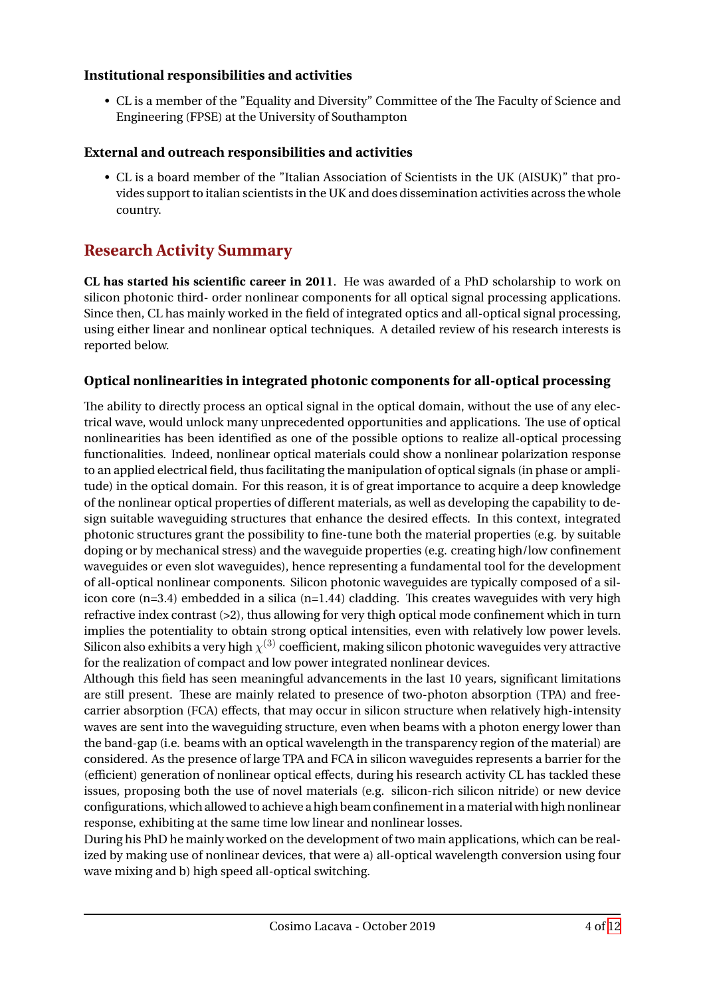#### **Institutional responsibilities and activities**

• CL is a member of the "Equality and Diversity" Committee of the The Faculty of Science and Engineering (FPSE) at the University of Southampton

#### **External and outreach responsibilities and activities**

• CL is a board member of the "Italian Association of Scientists in the UK (AISUK)" that provides support to italian scientists in the UK and does dissemination activities across the whole country.

## **Research Activity Summary**

**CL has started his scientific career in 2011**. He was awarded of a PhD scholarship to work on silicon photonic third- order nonlinear components for all optical signal processing applications. Since then, CL has mainly worked in the field of integrated optics and all-optical signal processing, using either linear and nonlinear optical techniques. A detailed review of his research interests is reported below.

#### **Optical nonlinearities in integrated photonic components for all-optical processing**

The ability to directly process an optical signal in the optical domain, without the use of any electrical wave, would unlock many unprecedented opportunities and applications. The use of optical nonlinearities has been identified as one of the possible options to realize all-optical processing functionalities. Indeed, nonlinear optical materials could show a nonlinear polarization response to an applied electrical field, thus facilitating the manipulation of optical signals (in phase or amplitude) in the optical domain. For this reason, it is of great importance to acquire a deep knowledge of the nonlinear optical properties of different materials, as well as developing the capability to design suitable waveguiding structures that enhance the desired effects. In this context, integrated photonic structures grant the possibility to fine-tune both the material properties (e.g. by suitable doping or by mechanical stress) and the waveguide properties (e.g. creating high/low confinement waveguides or even slot waveguides), hence representing a fundamental tool for the development of all-optical nonlinear components. Silicon photonic waveguides are typically composed of a silicon core  $(n=3.4)$  embedded in a silica  $(n=1.44)$  cladding. This creates waveguides with very high refractive index contrast (>2), thus allowing for very thigh optical mode confinement which in turn implies the potentiality to obtain strong optical intensities, even with relatively low power levels. Silicon also exhibits a very high  $\chi^{(3)}$  coefficient, making silicon photonic waveguides very attractive for the realization of compact and low power integrated nonlinear devices.

Although this field has seen meaningful advancements in the last 10 years, significant limitations are still present. These are mainly related to presence of two-photon absorption (TPA) and freecarrier absorption (FCA) effects, that may occur in silicon structure when relatively high-intensity waves are sent into the waveguiding structure, even when beams with a photon energy lower than the band-gap (i.e. beams with an optical wavelength in the transparency region of the material) are considered. As the presence of large TPA and FCA in silicon waveguides represents a barrier for the (efficient) generation of nonlinear optical effects, during his research activity CL has tackled these issues, proposing both the use of novel materials (e.g. silicon-rich silicon nitride) or new device configurations, which allowed to achieve a high beam confinement in amaterial with high nonlinear response, exhibiting at the same time low linear and nonlinear losses.

During his PhD he mainly worked on the development of two main applications, which can be realized by making use of nonlinear devices, that were a) all-optical wavelength conversion using four wave mixing and b) high speed all-optical switching.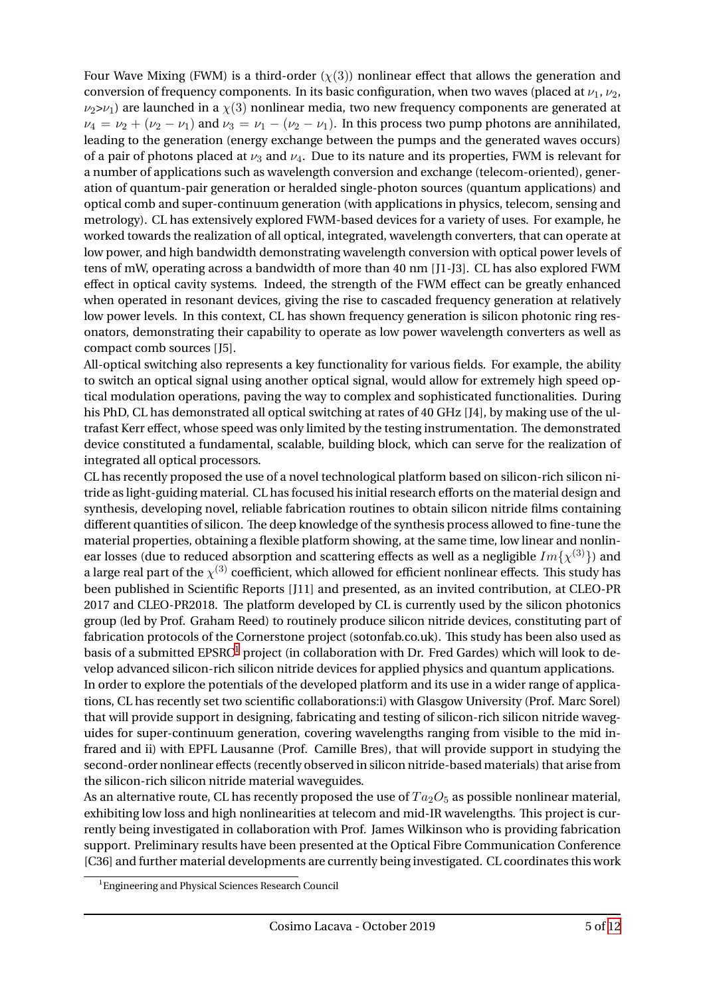Four Wave Mixing (FWM) is a third-order  $(\chi(3))$  nonlinear effect that allows the generation and conversion of frequency components. In its basic configuration, when two waves (placed at  $\nu_1$ ,  $\nu_2$ ,  $\nu_2>\nu_1$ ) are launched in a  $\chi(3)$  nonlinear media, two new frequency components are generated at  $\nu_4 = \nu_2 + (\nu_2 - \nu_1)$  and  $\nu_3 = \nu_1 - (\nu_2 - \nu_1)$ . In this process two pump photons are annihilated, leading to the generation (energy exchange between the pumps and the generated waves occurs) of a pair of photons placed at  $\nu_3$  and  $\nu_4$ . Due to its nature and its properties, FWM is relevant for a number of applications such as wavelength conversion and exchange (telecom-oriented), generation of quantum-pair generation or heralded single-photon sources (quantum applications) and optical comb and super-continuum generation (with applications in physics, telecom, sensing and metrology). CL has extensively explored FWM-based devices for a variety of uses. For example, he worked towards the realization of all optical, integrated, wavelength converters, that can operate at low power, and high bandwidth demonstrating wavelength conversion with optical power levels of tens of mW, operating across a bandwidth of more than 40 nm [J1-J3]. CL has also explored FWM effect in optical cavity systems. Indeed, the strength of the FWM effect can be greatly enhanced when operated in resonant devices, giving the rise to cascaded frequency generation at relatively low power levels. In this context, CL has shown frequency generation is silicon photonic ring resonators, demonstrating their capability to operate as low power wavelength converters as well as compact comb sources [J5].

All-optical switching also represents a key functionality for various fields. For example, the ability to switch an optical signal using another optical signal, would allow for extremely high speed optical modulation operations, paving the way to complex and sophisticated functionalities. During his PhD, CL has demonstrated all optical switching at rates of 40 GHz [J4], by making use of the ultrafast Kerr effect, whose speed was only limited by the testing instrumentation. The demonstrated device constituted a fundamental, scalable, building block, which can serve for the realization of integrated all optical processors.

CL has recently proposed the use of a novel technological platform based on silicon-rich silicon nitride as light-guiding material. CL has focused his initial research efforts on the material design and synthesis, developing novel, reliable fabrication routines to obtain silicon nitride films containing different quantities of silicon. The deep knowledge of the synthesis process allowed to fine-tune the material properties, obtaining a flexible platform showing, at the same time, low linear and nonlinear losses (due to reduced absorption and scattering effects as well as a negligible  $Im{\{\chi^{(3)}\}}$ ) and a large real part of the  $\chi^{(3)}$  coefficient, which allowed for efficient nonlinear effects. This study has been published in Scientific Reports [J11] and presented, as an invited contribution, at CLEO-PR 2017 and CLEO-PR2018. The platform developed by CL is currently used by the silicon photonics group (led by Prof. Graham Reed) to routinely produce silicon nitride devices, constituting part of fabrication protocols of the Cornerstone project (sotonfab.co.uk). This study has been also used as basis of a submitted EPSRC<sup>[1](#page-4-0)</sup> project (in collaboration with Dr. Fred Gardes) which will look to develop advanced silicon-rich silicon nitride devices for applied physics and quantum applications. In order to explore the potentials of the developed platform and its use in a wider range of applications, CL has recently set two scientific collaborations:i) with Glasgow University (Prof. Marc Sorel) that will provide support in designing, fabricating and testing of silicon-rich silicon nitride waveguides for super-continuum generation, covering wavelengths ranging from visible to the mid infrared and ii) with EPFL Lausanne (Prof. Camille Bres), that will provide support in studying the

the silicon-rich silicon nitride material waveguides. As an alternative route, CL has recently proposed the use of  $Ta_2O_5$  as possible nonlinear material, exhibiting low loss and high nonlinearities at telecom and mid-IR wavelengths. This project is currently being investigated in collaboration with Prof. James Wilkinson who is providing fabrication support. Preliminary results have been presented at the Optical Fibre Communication Conference [C36] and further material developments are currently being investigated. CL coordinates this work

second-order nonlinear effects (recently observed in silicon nitride-based materials) that arise from

<span id="page-4-0"></span><sup>&</sup>lt;sup>1</sup>Engineering and Physical Sciences Research Council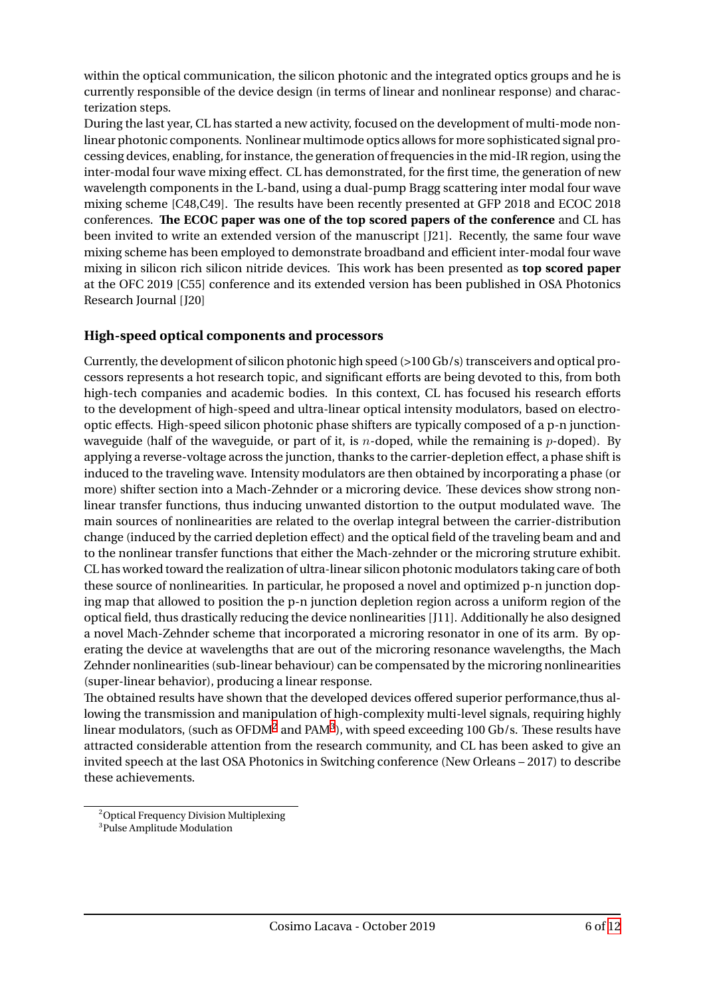within the optical communication, the silicon photonic and the integrated optics groups and he is currently responsible of the device design (in terms of linear and nonlinear response) and characterization steps.

During the last year, CL has started a new activity, focused on the development of multi-mode nonlinear photonic components. Nonlinear multimode optics allows for more sophisticated signal processing devices, enabling, for instance, the generation of frequencies in the mid-IR region, using the inter-modal four wave mixing effect. CL has demonstrated, for the first time, the generation of new wavelength components in the L-band, using a dual-pump Bragg scattering inter modal four wave mixing scheme [C48,C49]. The results have been recently presented at GFP 2018 and ECOC 2018 conferences. **The ECOC paper was one of the top scored papers of the conference** and CL has been invited to write an extended version of the manuscript [J21]. Recently, the same four wave mixing scheme has been employed to demonstrate broadband and efficient inter-modal four wave mixing in silicon rich silicon nitride devices. This work has been presented as **top scored paper** at the OFC 2019 [C55] conference and its extended version has been published in OSA Photonics Research Journal [J20]

#### **High-speed optical components and processors**

Currently, the development of silicon photonic high speed (>100 Gb/s) transceivers and optical processors represents a hot research topic, and significant efforts are being devoted to this, from both high-tech companies and academic bodies. In this context, CL has focused his research efforts to the development of high-speed and ultra-linear optical intensity modulators, based on electrooptic effects. High-speed silicon photonic phase shifters are typically composed of a p-n junctionwaveguide (half of the waveguide, or part of it, is *n*-doped, while the remaining is *p*-doped). By applying a reverse-voltage across the junction, thanks to the carrier-depletion effect, a phase shift is induced to the traveling wave. Intensity modulators are then obtained by incorporating a phase (or more) shifter section into a Mach-Zehnder or a microring device. These devices show strong nonlinear transfer functions, thus inducing unwanted distortion to the output modulated wave. The main sources of nonlinearities are related to the overlap integral between the carrier-distribution change (induced by the carried depletion effect) and the optical field of the traveling beam and and to the nonlinear transfer functions that either the Mach-zehnder or the microring struture exhibit. CL has worked toward the realization of ultra-linear silicon photonic modulators taking care of both these source of nonlinearities. In particular, he proposed a novel and optimized p-n junction doping map that allowed to position the p-n junction depletion region across a uniform region of the optical field, thus drastically reducing the device nonlinearities [J11]. Additionally he also designed a novel Mach-Zehnder scheme that incorporated a microring resonator in one of its arm. By operating the device at wavelengths that are out of the microring resonance wavelengths, the Mach Zehnder nonlinearities (sub-linear behaviour) can be compensated by the microring nonlinearities (super-linear behavior), producing a linear response.

The obtained results have shown that the developed devices offered superior performance,thus allowing the transmission and manipulation of high-complexity multi-level signals, requiring highly linear modulators, (such as OFDM $^2$  $^2$  and PAM $^3$  $^3$ ), with speed exceeding 100 Gb/s. These results have attracted considerable attention from the research community, and CL has been asked to give an invited speech at the last OSA Photonics in Switching conference (New Orleans – 2017) to describe these achievements.

<span id="page-5-0"></span><sup>2</sup>Optical Frequency Division Multiplexing

<span id="page-5-1"></span><sup>3</sup> Pulse Amplitude Modulation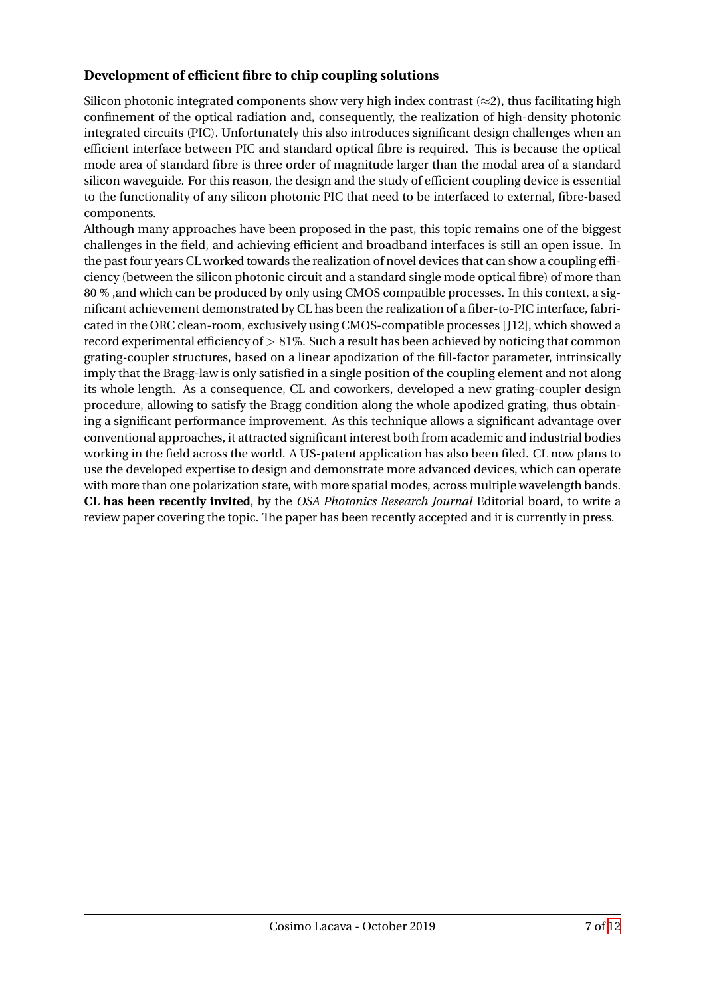#### **Development of efficient fibre to chip coupling solutions**

Silicon photonic integrated components show very high index contrast (*≈*2), thus facilitating high confinement of the optical radiation and, consequently, the realization of high-density photonic integrated circuits (PIC). Unfortunately this also introduces significant design challenges when an efficient interface between PIC and standard optical fibre is required. This is because the optical mode area of standard fibre is three order of magnitude larger than the modal area of a standard silicon waveguide. For this reason, the design and the study of efficient coupling device is essential to the functionality of any silicon photonic PIC that need to be interfaced to external, fibre-based components.

Although many approaches have been proposed in the past, this topic remains one of the biggest challenges in the field, and achieving efficient and broadband interfaces is still an open issue. In the past four years CL worked towards the realization of novel devices that can show a coupling efficiency (between the silicon photonic circuit and a standard single mode optical fibre) of more than 80 % ,and which can be produced by only using CMOS compatible processes. In this context, a significant achievement demonstrated by CL has been the realization of a fiber-to-PIC interface, fabricated in the ORC clean-room, exclusively using CMOS-compatible processes [J12], which showed a record experimental efficiency of *>* 81%. Such a result has been achieved by noticing that common grating-coupler structures, based on a linear apodization of the fill-factor parameter, intrinsically imply that the Bragg-law is only satisfied in a single position of the coupling element and not along its whole length. As a consequence, CL and coworkers, developed a new grating-coupler design procedure, allowing to satisfy the Bragg condition along the whole apodized grating, thus obtaining a significant performance improvement. As this technique allows a significant advantage over conventional approaches, it attracted significant interest both from academic and industrial bodies working in the field across the world. A US-patent application has also been filed. CL now plans to use the developed expertise to design and demonstrate more advanced devices, which can operate with more than one polarization state, with more spatial modes, across multiple wavelength bands. **CL has been recently invited**, by the *OSA Photonics Research Journal* Editorial board, to write a review paper covering the topic. The paper has been recently accepted and it is currently in press.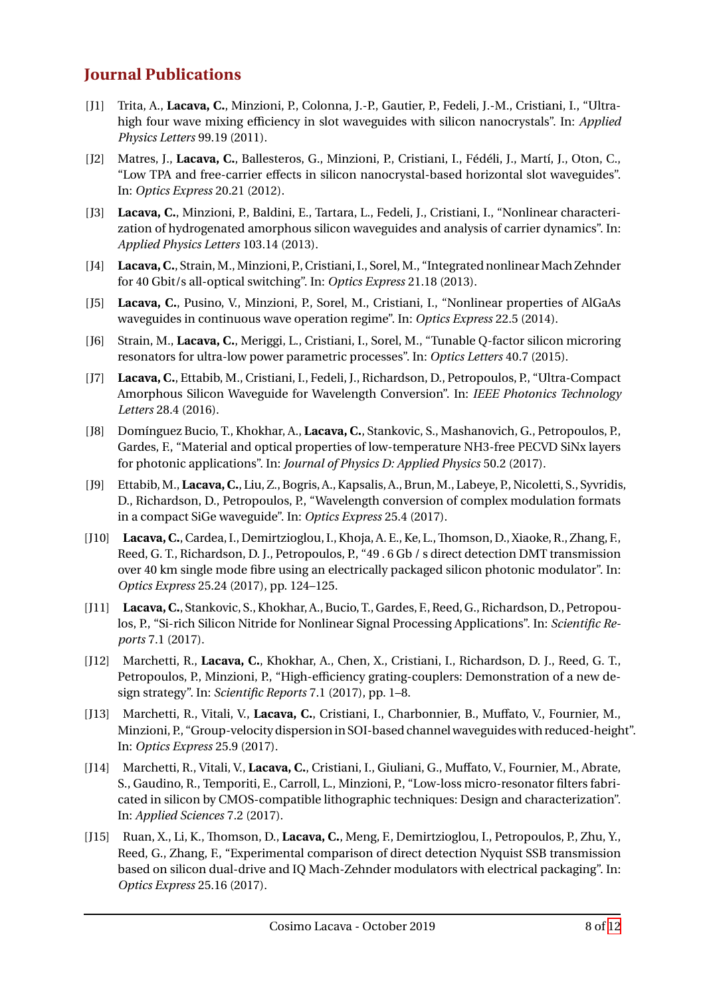## **Journal Publications**

- [J1] Trita, A., **Lacava, C.**, Minzioni, P., Colonna, J.-P., Gautier, P., Fedeli, J.-M., Cristiani, I., "Ultrahigh four wave mixing efficiency in slot waveguides with silicon nanocrystals". In: *Applied Physics Letters* 99.19 (2011).
- [J2] Matres, J., **Lacava, C.**, Ballesteros, G., Minzioni, P., Cristiani, I., Fédéli, J., Martí, J., Oton, C., "Low TPA and free-carrier effects in silicon nanocrystal-based horizontal slot waveguides". In: *Optics Express* 20.21 (2012).
- [J3] **Lacava, C.**, Minzioni, P., Baldini, E., Tartara, L., Fedeli, J., Cristiani, I., "Nonlinear characterization of hydrogenated amorphous silicon waveguides and analysis of carrier dynamics". In: *Applied Physics Letters* 103.14 (2013).
- [J4] Lacava, C., Strain, M., Minzioni, P., Cristiani, I., Sorel, M., "Integrated nonlinear Mach Zehnder for 40 Gbit/s all-optical switching". In: *Optics Express* 21.18 (2013).
- [J5] **Lacava, C.**, Pusino, V., Minzioni, P., Sorel, M., Cristiani, I., "Nonlinear properties of AlGaAs waveguides in continuous wave operation regime". In: *Optics Express* 22.5 (2014).
- [J6] Strain, M., **Lacava, C.**, Meriggi, L., Cristiani, I., Sorel, M., "Tunable Q-factor silicon microring resonators for ultra-low power parametric processes". In: *Optics Letters* 40.7 (2015).
- [J7] **Lacava, C.**, Ettabib, M., Cristiani, I., Fedeli, J., Richardson, D., Petropoulos, P., "Ultra-Compact Amorphous Silicon Waveguide for Wavelength Conversion". In: *IEEE Photonics Technology Letters* 28.4 (2016).
- [J8] Domínguez Bucio, T., Khokhar, A., **Lacava, C.**, Stankovic, S., Mashanovich, G., Petropoulos, P., Gardes, F., "Material and optical properties of low-temperature NH3-free PECVD SiNx layers for photonic applications". In: *Journal of Physics D: Applied Physics* 50.2 (2017).
- [J9] Ettabib,M.,**Lacava, C.**, Liu, Z., Bogris, A., Kapsalis, A., Brun,M., Labeye, P., Nicoletti, S., Syvridis, D., Richardson, D., Petropoulos, P., "Wavelength conversion of complex modulation formats in a compact SiGe waveguide". In: *Optics Express* 25.4 (2017).
- [J10] **Lacava, C.**, Cardea, I., Demirtzioglou, I., Khoja, A. E., Ke, L.,Thomson, D., Xiaoke, R., Zhang, F., Reed, G. T., Richardson, D. J., Petropoulos, P., "49 . 6 Gb / s direct detection DMT transmission over 40 km single mode fibre using an electrically packaged silicon photonic modulator". In: *Optics Express* 25.24 (2017), pp. 124–125.
- [J11] **Lacava, C.**, Stankovic, S., Khokhar, A., Bucio, T., Gardes, F., Reed, G., Richardson, D., Petropoulos, P., "Si-rich Silicon Nitride for Nonlinear Signal Processing Applications". In: *Scientific Reports* 7.1 (2017).
- [J12] Marchetti, R., **Lacava, C.**, Khokhar, A., Chen, X., Cristiani, I., Richardson, D. J., Reed, G. T., Petropoulos, P., Minzioni, P., "High-efficiency grating-couplers: Demonstration of a new design strategy". In: *Scientific Reports* 7.1 (2017), pp. 1–8.
- [J13] Marchetti, R., Vitali, V., **Lacava, C.**, Cristiani, I., Charbonnier, B., Muffato, V., Fournier, M., Minzioni, P., "Group-velocity dispersion in SOI-based channel waveguides with reduced-height". In: *Optics Express* 25.9 (2017).
- [J14] Marchetti, R., Vitali, V., **Lacava, C.**, Cristiani, I., Giuliani, G., Muffato, V., Fournier, M., Abrate, S., Gaudino, R., Temporiti, E., Carroll, L., Minzioni, P., "Low-loss micro-resonator filters fabricated in silicon by CMOS-compatible lithographic techniques: Design and characterization". In: *Applied Sciences* 7.2 (2017).
- [J15] Ruan, X., Li, K., Thomson, D., **Lacava, C.**, Meng, F., Demirtzioglou, I., Petropoulos, P., Zhu, Y., Reed, G., Zhang, F., "Experimental comparison of direct detection Nyquist SSB transmission based on silicon dual-drive and IQ Mach-Zehnder modulators with electrical packaging". In: *Optics Express* 25.16 (2017).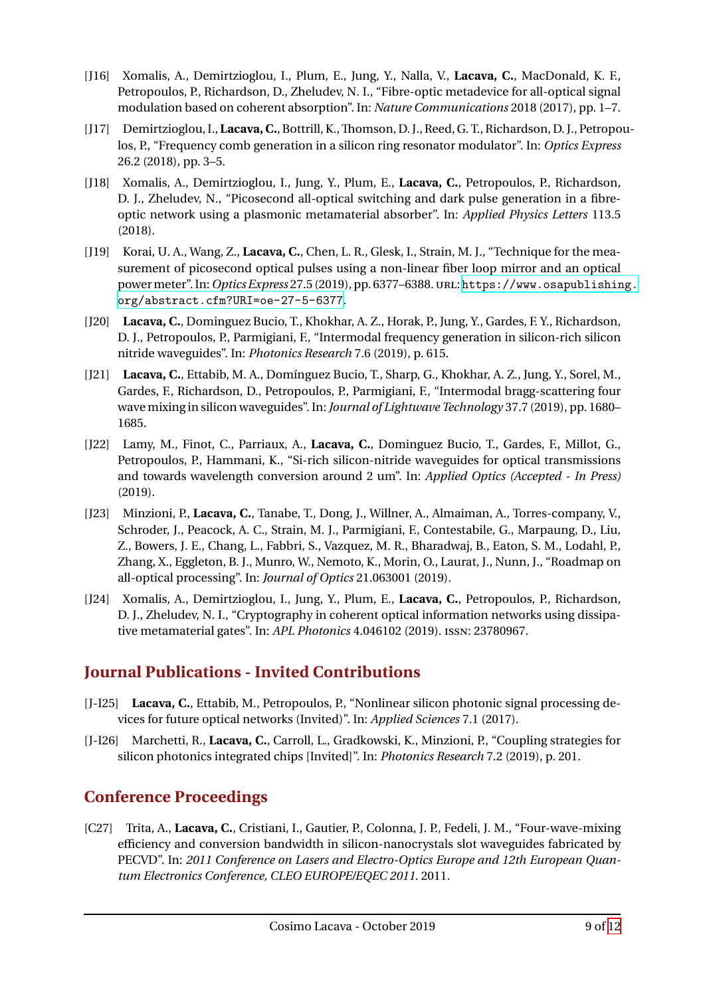- [J16] Xomalis, A., Demirtzioglou, I., Plum, E., Jung, Y., Nalla, V., **Lacava, C.**, MacDonald, K. F., Petropoulos, P., Richardson, D., Zheludev, N. I., "Fibre-optic metadevice for all-optical signal modulation based on coherent absorption". In: *Nature Communications* 2018 (2017), pp. 1–7.
- [J17] Demirtzioglou, I.,**Lacava, C.**, Bottrill, K.,Thomson, D. J., Reed, G. T., Richardson, D. J., Petropoulos, P., "Frequency comb generation in a silicon ring resonator modulator". In: *Optics Express* 26.2 (2018), pp. 3–5.
- [J18] Xomalis, A., Demirtzioglou, I., Jung, Y., Plum, E., **Lacava, C.**, Petropoulos, P., Richardson, D. J., Zheludev, N., "Picosecond all-optical switching and dark pulse generation in a fibreoptic network using a plasmonic metamaterial absorber". In: *Applied Physics Letters* 113.5 (2018).
- [J19] Korai, U. A., Wang, Z., **Lacava, C.**, Chen, L. R., Glesk, I., Strain, M. J., "Technique for the measurement of picosecond optical pulses using a non-linear fiber loop mirror and an optical powermeter". In:*Optics Express* 27.5 (2019), pp. 6377–6388.URL: [https://www.osapublishing.](https://www.osapublishing.org/abstract.cfm?URI=oe-27-5-6377) [org/abstract.cfm?URI=oe-27-5-6377](https://www.osapublishing.org/abstract.cfm?URI=oe-27-5-6377).
- [J20] **Lacava, C.**, Dominguez Bucio, T., Khokhar, A. Z., Horak, P., Jung, Y., Gardes, F. Y., Richardson, D. J., Petropoulos, P., Parmigiani, F., "Intermodal frequency generation in silicon-rich silicon nitride waveguides". In: *Photonics Research* 7.6 (2019), p. 615.
- [J21] **Lacava, C.**, Ettabib, M. A., Domínguez Bucio, T., Sharp, G., Khokhar, A. Z., Jung, Y., Sorel, M., Gardes, F., Richardson, D., Petropoulos, P., Parmigiani, F., "Intermodal bragg-scattering four wave mixing in silicon waveguides". In:*Journal of Lightwave Technology* 37.7 (2019), pp. 1680– 1685.
- [J22] Lamy, M., Finot, C., Parriaux, A., **Lacava, C.**, Dominguez Bucio, T., Gardes, F., Millot, G., Petropoulos, P., Hammani, K., "Si-rich silicon-nitride waveguides for optical transmissions and towards wavelength conversion around 2 um". In: *Applied Optics (Accepted - In Press)* (2019).
- [J23] Minzioni, P., **Lacava, C.**, Tanabe, T., Dong, J., Willner, A., Almaiman, A., Torres-company, V., Schroder, J., Peacock, A. C., Strain, M. J., Parmigiani, F., Contestabile, G., Marpaung, D., Liu, Z., Bowers, J. E., Chang, L., Fabbri, S., Vazquez, M. R., Bharadwaj, B., Eaton, S. M., Lodahl, P., Zhang, X., Eggleton, B. J., Munro, W., Nemoto, K., Morin, O., Laurat, J., Nunn, J., "Roadmap on all-optical processing". In: *Journal of Optics* 21.063001 (2019).
- [J24] Xomalis, A., Demirtzioglou, I., Jung, Y., Plum, E., **Lacava, C.**, Petropoulos, P., Richardson, D. J., Zheludev, N. I., "Cryptography in coherent optical information networks using dissipative metamaterial gates". In: *APL Photonics* 4.046102 (2019). ISSN: 23780967.

## **Journal Publications - Invited Contributions**

- [J-I25] **Lacava, C.**, Ettabib, M., Petropoulos, P., "Nonlinear silicon photonic signal processing devices for future optical networks (Invited)". In: *Applied Sciences* 7.1 (2017).
- [J-I26] Marchetti, R., **Lacava, C.**, Carroll, L., Gradkowski, K., Minzioni, P., "Coupling strategies for silicon photonics integrated chips [Invited]". In: *Photonics Research* 7.2 (2019), p. 201.

## **Conference Proceedings**

[C27] Trita, A., **Lacava, C.**, Cristiani, I., Gautier, P., Colonna, J. P., Fedeli, J. M., "Four-wave-mixing efficiency and conversion bandwidth in silicon-nanocrystals slot waveguides fabricated by PECVD". In: *2011 Conference on Lasers and Electro-Optics Europe and 12th European Quantum Electronics Conference, CLEO EUROPE/EQEC 2011*. 2011.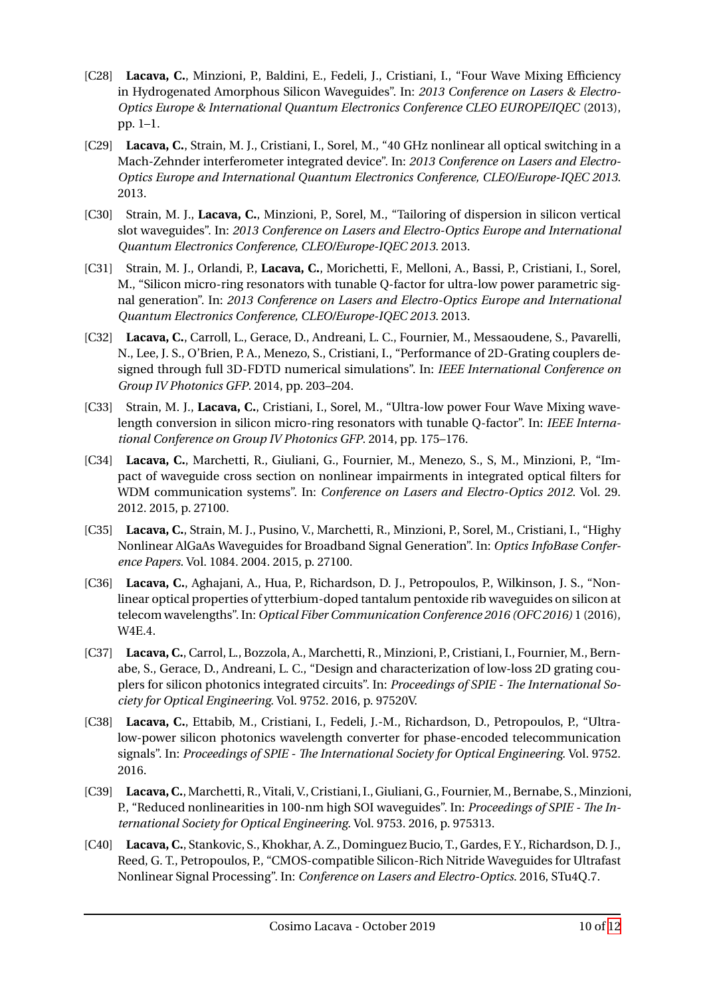- [C28] **Lacava, C.**, Minzioni, P., Baldini, E., Fedeli, J., Cristiani, I., "Four Wave Mixing Efficiency in Hydrogenated Amorphous Silicon Waveguides". In: *2013 Conference on Lasers & Electro-Optics Europe & International Quantum Electronics Conference CLEO EUROPE/IQEC* (2013), pp. 1–1.
- [C29] **Lacava, C.**, Strain, M. J., Cristiani, I., Sorel, M., "40 GHz nonlinear all optical switching in a Mach-Zehnder interferometer integrated device". In: *2013 Conference on Lasers and Electro-Optics Europe and International Quantum Electronics Conference, CLEO/Europe-IQEC 2013*. 2013.
- [C30] Strain, M. J., **Lacava, C.**, Minzioni, P., Sorel, M., "Tailoring of dispersion in silicon vertical slot waveguides". In: *2013 Conference on Lasers and Electro-Optics Europe and International Quantum Electronics Conference, CLEO/Europe-IQEC 2013*. 2013.
- [C31] Strain, M. J., Orlandi, P., **Lacava, C.**, Morichetti, F., Melloni, A., Bassi, P., Cristiani, I., Sorel, M., "Silicon micro-ring resonators with tunable Q-factor for ultra-low power parametric signal generation". In: *2013 Conference on Lasers and Electro-Optics Europe and International Quantum Electronics Conference, CLEO/Europe-IQEC 2013*. 2013.
- [C32] **Lacava, C.**, Carroll, L., Gerace, D., Andreani, L. C., Fournier, M., Messaoudene, S., Pavarelli, N., Lee, J. S., O'Brien, P. A., Menezo, S., Cristiani, I., "Performance of 2D-Grating couplers designed through full 3D-FDTD numerical simulations". In: *IEEE International Conference on Group IV Photonics GFP*. 2014, pp. 203–204.
- [C33] Strain, M. J., **Lacava, C.**, Cristiani, I., Sorel, M., "Ultra-low power Four Wave Mixing wavelength conversion in silicon micro-ring resonators with tunable Q-factor". In: *IEEE International Conference on Group IV Photonics GFP*. 2014, pp. 175–176.
- [C34] **Lacava, C.**, Marchetti, R., Giuliani, G., Fournier, M., Menezo, S., S, M., Minzioni, P., "Impact of waveguide cross section on nonlinear impairments in integrated optical filters for WDM communication systems". In: *Conference on Lasers and Electro-Optics 2012*. Vol. 29. 2012. 2015, p. 27100.
- [C35] **Lacava, C.**, Strain, M. J., Pusino, V., Marchetti, R., Minzioni, P., Sorel, M., Cristiani, I., "Highy Nonlinear AlGaAs Waveguides for Broadband Signal Generation". In: *Optics InfoBase Conference Papers*. Vol. 1084. 2004. 2015, p. 27100.
- [C36] **Lacava, C.**, Aghajani, A., Hua, P., Richardson, D. J., Petropoulos, P., Wilkinson, J. S., "Nonlinear optical properties of ytterbium-doped tantalum pentoxide rib waveguides on silicon at telecom wavelengths". In: *Optical Fiber Communication Conference 2016 (OFC 2016)* 1 (2016), W4E.4.
- [C37] **Lacava, C.**, Carrol, L., Bozzola, A., Marchetti, R., Minzioni, P., Cristiani, I., Fournier, M., Bernabe, S., Gerace, D., Andreani, L. C., "Design and characterization of low-loss 2D grating couplers for silicon photonics integrated circuits". In: *Proceedings of SPIE - The International Society for Optical Engineering*. Vol. 9752. 2016, p. 97520V.
- [C38] **Lacava, C.**, Ettabib, M., Cristiani, I., Fedeli, J.-M., Richardson, D., Petropoulos, P., "Ultralow-power silicon photonics wavelength converter for phase-encoded telecommunication signals". In: *Proceedings of SPIE - The International Society for Optical Engineering*. Vol. 9752. 2016.
- [C39] **Lacava, C.**,Marchetti, R., Vitali, V., Cristiani, I., Giuliani, G., Fournier,M., Bernabe, S.,Minzioni, P., "Reduced nonlinearities in 100-nm high SOI waveguides". In: *Proceedings of SPIE - The International Society for Optical Engineering*. Vol. 9753. 2016, p. 975313.
- [C40] **Lacava, C.**, Stankovic, S., Khokhar, A. Z., Dominguez Bucio, T., Gardes, F. Y., Richardson, D. J., Reed, G. T., Petropoulos, P., "CMOS-compatible Silicon-Rich Nitride Waveguides for Ultrafast Nonlinear Signal Processing". In: *Conference on Lasers and Electro-Optics*. 2016, STu4Q.7.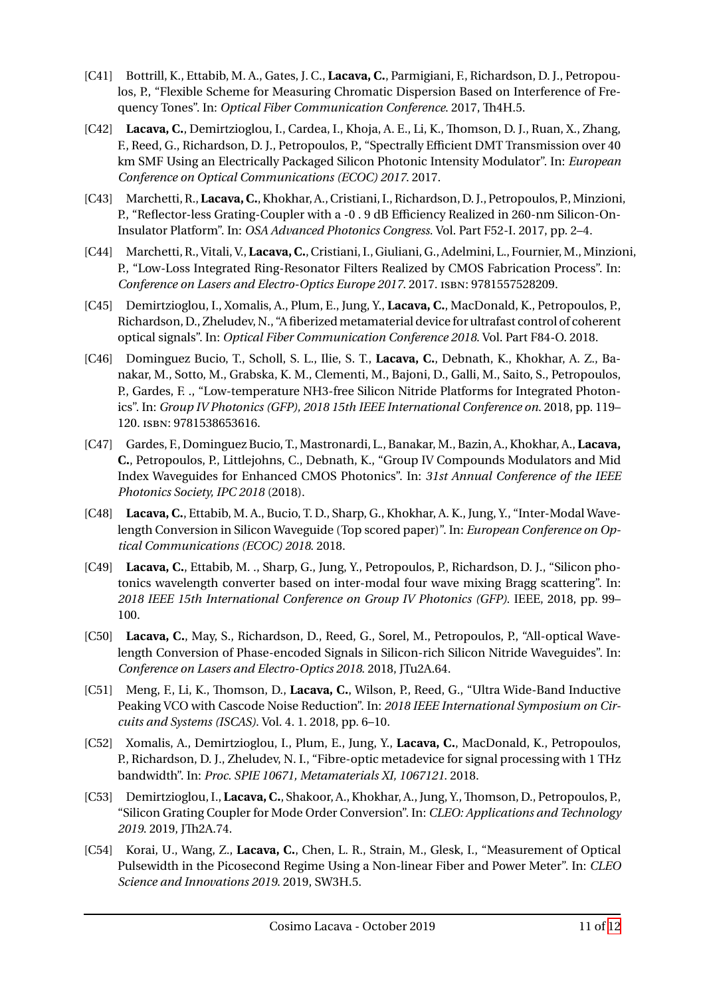- [C41] Bottrill, K., Ettabib, M. A., Gates, J. C., **Lacava, C.**, Parmigiani, F., Richardson, D. J., Petropoulos, P., "Flexible Scheme for Measuring Chromatic Dispersion Based on Interference of Frequency Tones". In: *Optical Fiber Communication Conference*. 2017, Th4H.5.
- [C42] **Lacava, C.**, Demirtzioglou, I., Cardea, I., Khoja, A. E., Li, K., Thomson, D. J., Ruan, X., Zhang, F., Reed, G., Richardson, D. J., Petropoulos, P., "Spectrally Efficient DMT Transmission over 40 km SMF Using an Electrically Packaged Silicon Photonic Intensity Modulator". In: *European Conference on Optical Communications (ECOC) 2017*. 2017.
- [C43] Marchetti, R.,**Lacava, C.**, Khokhar, A., Cristiani, I., Richardson, D. J., Petropoulos, P.,Minzioni, P., "Reflector-less Grating-Coupler with a -0 . 9 dB Efficiency Realized in 260-nm Silicon-On-Insulator Platform". In: *OSA Advanced Photonics Congress*. Vol. Part F52-I. 2017, pp. 2–4.
- [C44] Marchetti, R., Vitali, V., Lacava, C., Cristiani, I., Giuliani, G., Adelmini, L., Fournier, M., Minzioni, P., "Low-Loss Integrated Ring-Resonator Filters Realized by CMOS Fabrication Process". In: *Conference on Lasers and Electro-Optics Europe 2017*. 2017. ISBN: 9781557528209.
- [C45] Demirtzioglou, I., Xomalis, A., Plum, E., Jung, Y., **Lacava, C.**, MacDonald, K., Petropoulos, P., Richardson, D., Zheludev, N., "A fiberized metamaterial devicefor ultrafast control of coherent optical signals". In: *Optical Fiber Communication Conference 2018*. Vol. Part F84-O. 2018.
- [C46] Dominguez Bucio, T., Scholl, S. L., Ilie, S. T., **Lacava, C.**, Debnath, K., Khokhar, A. Z., Banakar, M., Sotto, M., Grabska, K. M., Clementi, M., Bajoni, D., Galli, M., Saito, S., Petropoulos, P., Gardes, F. ., "Low-temperature NH3-free Silicon Nitride Platforms for Integrated Photonics". In: *Group IV Photonics (GFP), 2018 15th IEEE International Conference on*. 2018, pp. 119– 120. ISBN: 9781538653616.
- [C47] Gardes, F., Dominguez Bucio, T., Mastronardi, L., Banakar, M., Bazin, A., Khokhar, A., **Lacava, C.**, Petropoulos, P., Littlejohns, C., Debnath, K., "Group IV Compounds Modulators and Mid Index Waveguides for Enhanced CMOS Photonics". In: *31st Annual Conference of the IEEE Photonics Society, IPC 2018* (2018).
- [C48] **Lacava, C.**, Ettabib, M. A., Bucio, T. D., Sharp, G., Khokhar, A. K., Jung, Y., "Inter-Modal Wavelength Conversion in Silicon Waveguide (Top scored paper)". In: *European Conference on Optical Communications (ECOC) 2018*. 2018.
- [C49] **Lacava, C.**, Ettabib, M. ., Sharp, G., Jung, Y., Petropoulos, P., Richardson, D. J., "Silicon photonics wavelength converter based on inter-modal four wave mixing Bragg scattering". In: *2018 IEEE 15th International Conference on Group IV Photonics (GFP)*. IEEE, 2018, pp. 99– 100.
- [C50] **Lacava, C.**, May, S., Richardson, D., Reed, G., Sorel, M., Petropoulos, P., "All-optical Wavelength Conversion of Phase-encoded Signals in Silicon-rich Silicon Nitride Waveguides". In: *Conference on Lasers and Electro-Optics 2018*. 2018, JTu2A.64.
- [C51] Meng, F., Li, K., Thomson, D., **Lacava, C.**, Wilson, P., Reed, G., "Ultra Wide-Band Inductive Peaking VCO with Cascode Noise Reduction". In: *2018 IEEE International Symposium on Circuits and Systems (ISCAS)*. Vol. 4. 1. 2018, pp. 6–10.
- [C52] Xomalis, A., Demirtzioglou, I., Plum, E., Jung, Y., **Lacava, C.**, MacDonald, K., Petropoulos, P., Richardson, D. J., Zheludev, N. I., "Fibre-optic metadevice for signal processing with 1 THz bandwidth". In: *Proc. SPIE 10671, Metamaterials XI, 1067121*. 2018.
- [C53] Demirtzioglou, I., **Lacava, C.**, Shakoor, A., Khokhar, A., Jung, Y.,Thomson, D., Petropoulos, P., "Silicon Grating Coupler for Mode Order Conversion". In: *CLEO: Applications and Technology 2019*. 2019, JTh2A.74.
- [C54] Korai, U., Wang, Z., **Lacava, C.**, Chen, L. R., Strain, M., Glesk, I., "Measurement of Optical Pulsewidth in the Picosecond Regime Using a Non-linear Fiber and Power Meter". In: *CLEO Science and Innovations 2019*. 2019, SW3H.5.